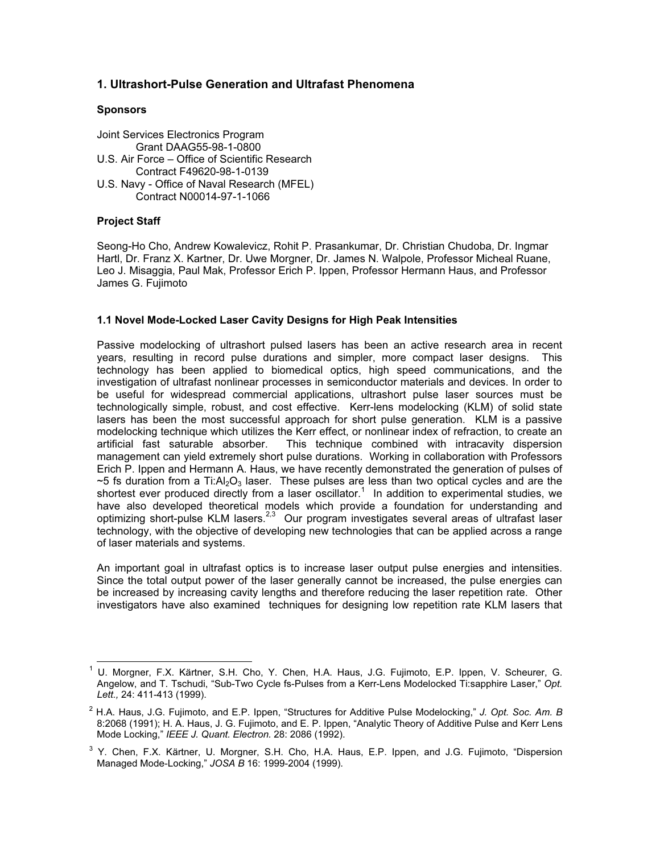# 1. Ultrashort-Pulse Generation and Ultrafast Phenomena

## **Sponsors**

Joint Services Electronics Program Grant DAAG55-98-1-0800 U.S. Air Force – Office of Scientific Research Contract F49620-98-1-0139 U.S. Navy - Office of Naval Research (MFEL) Contract N00014-97-1-1066

# Project Staff

Seong-Ho Cho, Andrew Kowalevicz, Rohit P. Prasankumar, Dr. Christian Chudoba, Dr. Ingmar Hartl, Dr. Franz X. Kartner, Dr. Uwe Morgner, Dr. James N. Walpole, Professor Micheal Ruane, Leo J. Misaggia, Paul Mak, Professor Erich P. Ippen, Professor Hermann Haus, and Professor James G. Fujimoto

## 1.1 Novel Mode-Locked Laser Cavity Designs for High Peak Intensities

Passive modelocking of ultrashort pulsed lasers has been an active research area in recent years, resulting in record pulse durations and simpler, more compact laser designs. This technology has been applied to biomedical optics, high speed communications, and the investigation of ultrafast nonlinear processes in semiconductor materials and devices. In order to be useful for widespread commercial applications, ultrashort pulse laser sources must be technologically simple, robust, and cost effective. Kerr-lens modelocking (KLM) of solid state lasers has been the most successful approach for short pulse generation. KLM is a passive modelocking technique which utilizes the Kerr effect, or nonlinear index of refraction, to create an artificial fast saturable absorber. This technique combined with intracavity dispersion management can yield extremely short pulse durations. Working in collaboration with Professors Erich P. Ippen and Hermann A. Haus, we have recently demonstrated the generation of pulses of  $\sim$ 5 fs duration from a Ti:Al<sub>2</sub>O<sub>3</sub> laser. These pulses are less than two optical cycles and are the shortest ever produced directly from a laser oscillator.<sup>1</sup> In addition to experimental studies, we have also developed theoretical models which provide a foundation for understanding and optimizing short-pulse KLM lasers.<sup>2,3</sup> Our program investigates several areas of ultrafast laser technology, with the objective of developing new technologies that can be applied across a range of laser materials and systems.

An important goal in ultrafast optics is to increase laser output pulse energies and intensities. Since the total output power of the laser generally cannot be increased, the pulse energies can be increased by increasing cavity lengths and therefore reducing the laser repetition rate. Other investigators have also examined techniques for designing low repetition rate KLM lasers that

<sup>&</sup>lt;sup>1</sup> U. Morgner, F.X. Kärtner, S.H. Cho, Y. Chen, H.A. Haus, J.G. Fujimoto, E.P. Ippen, V. Scheurer, G. Angelow, and T. Tschudi, "Sub-Two Cycle fs-Pulses from a Kerr-Lens Modelocked Ti:sapphire Laser," Opt. Lett., 24: 411-413 (1999).

 $^2$  H.A. Haus, J.G. Fujimoto, and E.P. Ippen, "Structures for Additive Pulse Modelocking," J. Opt. Soc. Am. B 8:2068 (1991); H. A. Haus, J. G. Fujimoto, and E. P. Ippen, "Analytic Theory of Additive Pulse and Kerr Lens Mode Locking," IEEE J. Quant. Electron. 28: 2086 (1992).

<sup>3</sup> Y. Chen, F.X. Kärtner, U. Morgner, S.H. Cho, H.A. Haus, E.P. Ippen, and J.G. Fujimoto, "Dispersion Managed Mode-Locking," JOSA B 16: 1999-2004 (1999).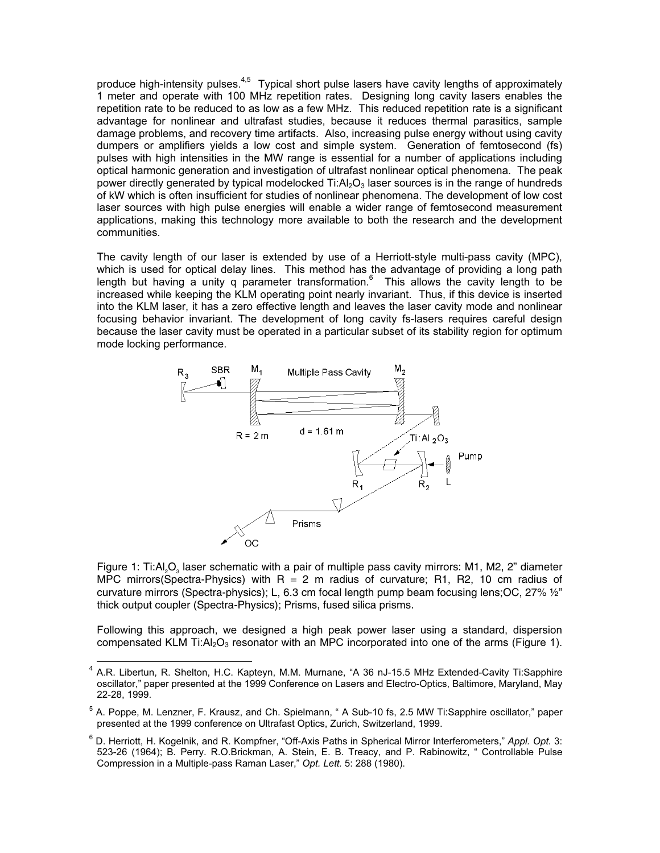produce high-intensity pulses. $4,5$  Typical short pulse lasers have cavity lengths of approximately 1 meter and operate with 100 MHz repetition rates. Designing long cavity lasers enables the repetition rate to be reduced to as low as a few MHz. This reduced repetition rate is a significant advantage for nonlinear and ultrafast studies, because it reduces thermal parasitics, sample damage problems, and recovery time artifacts. Also, increasing pulse energy without using cavity dumpers or amplifiers yields a low cost and simple system. Generation of femtosecond (fs) pulses with high intensities in the MW range is essential for a number of applications including optical harmonic generation and investigation of ultrafast nonlinear optical phenomena. The peak power directly generated by typical modelocked  $Ti: A \geq O_3$  laser sources is in the range of hundreds of kW which is often insufficient for studies of nonlinear phenomena. The development of low cost laser sources with high pulse energies will enable a wider range of femtosecond measurement applications, making this technology more available to both the research and the development communities.

The cavity length of our laser is extended by use of a Herriott-style multi-pass cavity (MPC), which is used for optical delay lines. This method has the advantage of providing a long path length but having a unity q parameter transformation. $6$  This allows the cavity length to be increased while keeping the KLM operating point nearly invariant. Thus, if this device is inserted into the KLM laser, it has a zero effective length and leaves the laser cavity mode and nonlinear focusing behavior invariant. The development of long cavity fs-lasers requires careful design because the laser cavity must be operated in a particular subset of its stability region for optimum mode locking performance.



Figure 1: Ti:Al<sub>2</sub>O<sub>3</sub> laser schematic with a pair of multiple pass cavity mirrors: M1, M2, 2" diameter MPC mirrors(Spectra-Physics) with  $R = 2$  m radius of curvature; R1, R2, 10 cm radius of curvature mirrors (Spectra-physics); L, 6.3 cm focal length pump beam focusing lens;OC, 27% ½" thick output coupler (Spectra-Physics); Prisms, fused silica prisms.

Following this approach, we designed a high peak power laser using a standard, dispersion compensated KLM Ti:A $\log$  resonator with an MPC incorporated into one of the arms (Figure 1).

<sup>&</sup>lt;sup>4</sup> A.R. Libertun, R. Shelton, H.C. Kapteyn, M.M. Murnane, "A 36 nJ-15.5 MHz Extended-Cavity Ti:Sapphire oscillator," paper presented at the 1999 Conference on Lasers and Electro-Optics, Baltimore, Maryland, May 22-28, 1999.

<sup>&</sup>lt;sup>5</sup> A. Poppe, M. Lenzner, F. Krausz, and Ch. Spielmann, " A Sub-10 fs, 2.5 MW Ti:Sapphire oscillator," paper presented at the 1999 conference on Ultrafast Optics, Zurich, Switzerland, 1999.

<sup>&</sup>lt;sup>6</sup> D. Herriott, H. Kogelnik, and R. Kompfner, "Off-Axis Paths in Spherical Mirror Interferometers," Appl. Opt. 3: 523-26 (1964); B. Perry. R.O.Brickman, A. Stein, E. B. Treacy, and P. Rabinowitz, " Controllable Pulse Compression in a Multiple-pass Raman Laser," Opt. Lett. 5: 288 (1980).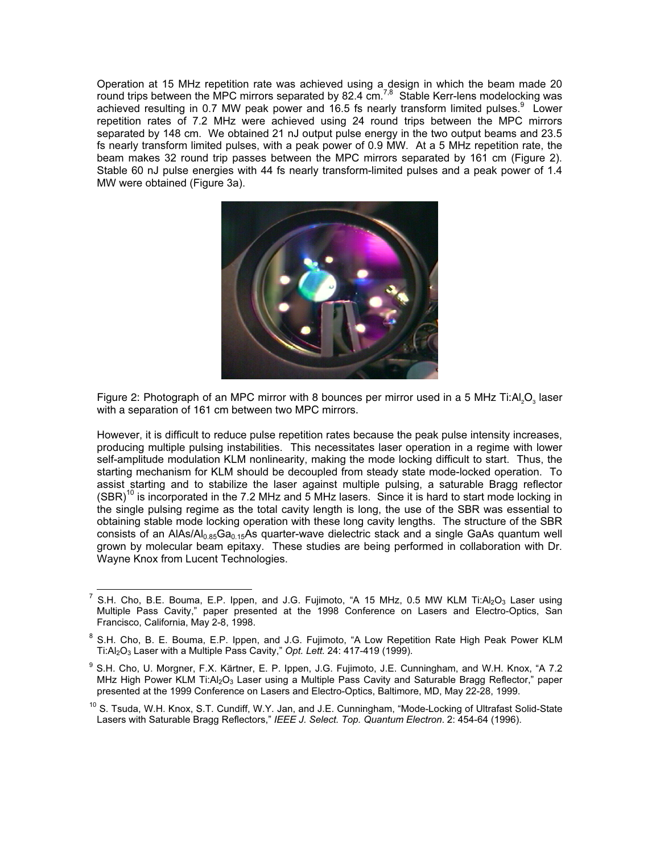Operation at 15 MHz repetition rate was achieved using a design in which the beam made 20 round trips between the MPC mirrors separated by 82.4  $cm^{7,8}$  Stable Kerr-lens modelocking was achieved resulting in 0.7 MW peak power and 16.5 fs nearly transform limited pulses.<sup>9</sup> Lower repetition rates of 7.2 MHz were achieved using 24 round trips between the MPC mirrors separated by 148 cm. We obtained 21 nJ output pulse energy in the two output beams and 23.5 fs nearly transform limited pulses, with a peak power of 0.9 MW. At a 5 MHz repetition rate, the beam makes 32 round trip passes between the MPC mirrors separated by 161 cm (Figure 2). Stable 60 nJ pulse energies with 44 fs nearly transform-limited pulses and a peak power of 1.4 MW were obtained (Figure 3a).



Figure 2: Photograph of an MPC mirror with 8 bounces per mirror used in a 5 MHz Ti:Al,O<sub>2</sub> laser with a separation of 161 cm between two MPC mirrors.

However, it is difficult to reduce pulse repetition rates because the peak pulse intensity increases, producing multiple pulsing instabilities. This necessitates laser operation in a regime with lower self-amplitude modulation KLM nonlinearity, making the mode locking difficult to start. Thus, the starting mechanism for KLM should be decoupled from steady state mode-locked operation. To assist starting and to stabilize the laser against multiple pulsing, a saturable Bragg reflector  $(SBR)<sup>10</sup>$  is incorporated in the 7.2 MHz and 5 MHz lasers. Since it is hard to start mode locking in the single pulsing regime as the total cavity length is long, the use of the SBR was essential to obtaining stable mode locking operation with these long cavity lengths. The structure of the SBR consists of an AIAs/A $l_{0.85}Ga_{0.15}As$  quarter-wave dielectric stack and a single GaAs quantum well grown by molecular beam epitaxy. These studies are being performed in collaboration with Dr. Wayne Knox from Lucent Technologies.

<sup>&</sup>lt;sup>7</sup> S.H. Cho, B.E. Bouma, E.P. Ippen, and J.G. Fujimoto, "A 15 MHz, 0.5 MW KLM Ti:Al<sub>2</sub>O<sub>3</sub> Laser using Multiple Pass Cavity," paper presented at the 1998 Conference on Lasers and Electro-Optics, San Francisco, California, May 2-8, 1998.

<sup>8</sup> S.H. Cho, B. E. Bouma, E.P. Ippen, and J.G. Fujimoto, "A Low Repetition Rate High Peak Power KLM Ti:Al<sub>2</sub>O<sub>3</sub> Laser with a Multiple Pass Cavity," Opt. Lett. 24: 417-419 (1999).

<sup>&</sup>lt;sup>9</sup> S.H. Cho, U. Morgner, F.X. Kärtner, E. P. Ippen, J.G. Fujimoto, J.E. Cunningham, and W.H. Knox, "A 7.2 MHz High Power KLM Ti: $Al_2O_3$  Laser using a Multiple Pass Cavity and Saturable Bragg Reflector," paper presented at the 1999 Conference on Lasers and Electro-Optics, Baltimore, MD, May 22-28, 1999.

<sup>&</sup>lt;sup>10</sup> S. Tsuda, W.H. Knox, S.T. Cundiff, W.Y. Jan, and J.E. Cunningham, "Mode-Locking of Ultrafast Solid-State Lasers with Saturable Bragg Reflectors," IEEE J. Select. Top. Quantum Electron. 2: 454-64 (1996).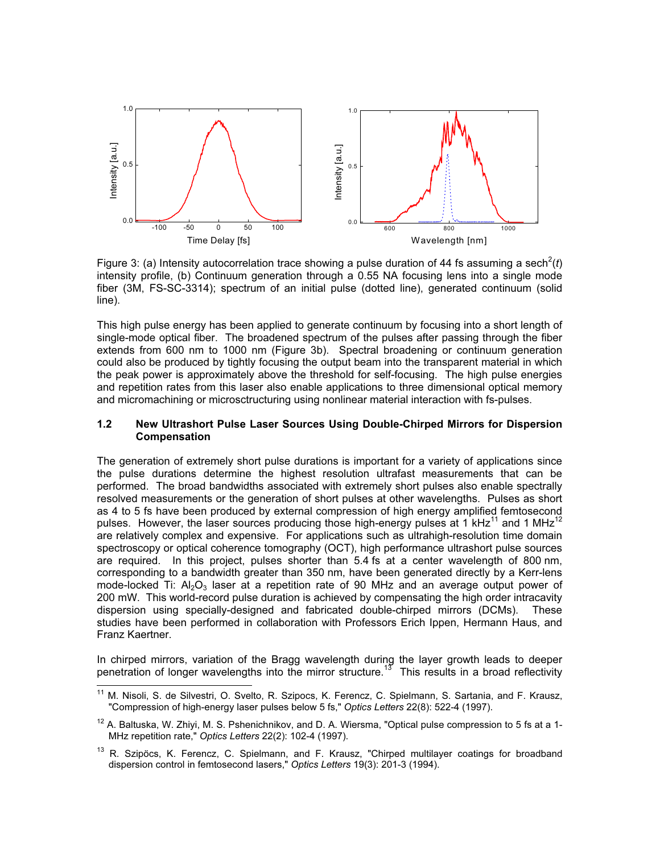

Figure 3: (a) Intensity autocorrelation trace showing a pulse duration of 44 fs assuming a sech<sup>2</sup>(t) intensity profile, (b) Continuum generation through a 0.55 NA focusing lens into a single mode fiber (3M, FS-SC-3314); spectrum of an initial pulse (dotted line), generated continuum (solid line).

This high pulse energy has been applied to generate continuum by focusing into a short length of single-mode optical fiber. The broadened spectrum of the pulses after passing through the fiber extends from 600 nm to 1000 nm (Figure 3b). Spectral broadening or continuum generation could also be produced by tightly focusing the output beam into the transparent material in which the peak power is approximately above the threshold for self-focusing. The high pulse energies and repetition rates from this laser also enable applications to three dimensional optical memory and micromachining or microsctructuring using nonlinear material interaction with fs-pulses.

#### 1.2 New Ultrashort Pulse Laser Sources Using Double-Chirped Mirrors for Dispersion Compensation

The generation of extremely short pulse durations is important for a variety of applications since the pulse durations determine the highest resolution ultrafast measurements that can be performed. The broad bandwidths associated with extremely short pulses also enable spectrally resolved measurements or the generation of short pulses at other wavelengths. Pulses as short as 4 to 5 fs have been produced by external compression of high energy amplified femtosecond pulses. However, the laser sources producing those high-energy pulses at 1 kHz<sup>11</sup> and 1 MHz<sup>12</sup> are relatively complex and expensive. For applications such as ultrahigh-resolution time domain spectroscopy or optical coherence tomography (OCT), high performance ultrashort pulse sources are required. In this project, pulses shorter than 5.4 fs at a center wavelength of 800 nm, corresponding to a bandwidth greater than 350 nm, have been generated directly by a Kerr-lens mode-locked Ti:  $A_2O_3$  laser at a repetition rate of 90 MHz and an average output power of 200 mW. This world-record pulse duration is achieved by compensating the high order intracavity dispersion using specially-designed and fabricated double-chirped mirrors (DCMs). These studies have been performed in collaboration with Professors Erich Ippen, Hermann Haus, and Franz Kaertner.

In chirped mirrors, variation of the Bragg wavelength during the layer growth leads to deeper penetration of longer wavelengths into the mirror structure.<sup>13</sup> This results in a broad reflectivity

<sup>11</sup> M. Nisoli, S. de Silvestri, O. Svelto, R. Szipocs, K. Ferencz, C. Spielmann, S. Sartania, and F. Krausz, "Compression of high-energy laser pulses below 5 fs," Optics Letters 22(8): 522-4 (1997).

<sup>&</sup>lt;sup>12</sup> A. Baltuska, W. Zhiyi, M. S. Pshenichnikov, and D. A. Wiersma, "Optical pulse compression to 5 fs at a 1-MHz repetition rate," Optics Letters 22(2): 102-4 (1997).

<sup>&</sup>lt;sup>13</sup> R. Szipöcs, K. Ferencz, C. Spielmann, and F. Krausz, "Chirped multilayer coatings for broadband dispersion control in femtosecond lasers," Optics Letters 19(3): 201-3 (1994).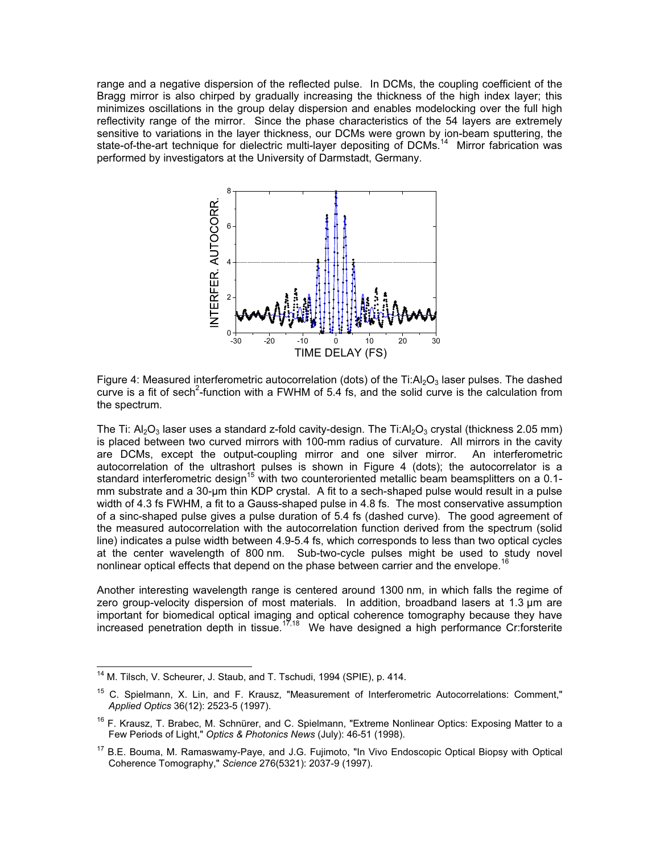range and a negative dispersion of the reflected pulse. In DCMs, the coupling coefficient of the Bragg mirror is also chirped by gradually increasing the thickness of the high index layer; this minimizes oscillations in the group delay dispersion and enables modelocking over the full high reflectivity range of the mirror. Since the phase characteristics of the 54 layers are extremely sensitive to variations in the layer thickness, our DCMs were grown by ion-beam sputtering, the state-of-the-art technique for dielectric multi-layer depositing of DCMs.<sup>14</sup> Mirror fabrication was performed by investigators at the University of Darmstadt, Germany.



Figure 4: Measured interferometric autocorrelation (dots) of the  $Ti: Al<sub>2</sub>O<sub>3</sub>$  laser pulses. The dashed curve is a fit of sech<sup>2</sup>-function with a FWHM of 5.4 fs, and the solid curve is the calculation from the spectrum.

The Ti:  $A_2O_3$  laser uses a standard z-fold cavity-design. The Ti: $A_2O_3$  crystal (thickness 2.05 mm) is placed between two curved mirrors with 100-mm radius of curvature. All mirrors in the cavity are DCMs, except the output-coupling mirror and one silver mirror. An interferometric autocorrelation of the ultrashort pulses is shown in Figure 4 (dots); the autocorrelator is a standard interferometric design<sup>15</sup> with two counteroriented metallic beam beamsplitters on a 0.1mm substrate and a 30-µm thin KDP crystal. A fit to a sech-shaped pulse would result in a pulse width of 4.3 fs FWHM, a fit to a Gauss-shaped pulse in 4.8 fs. The most conservative assumption of a sinc-shaped pulse gives a pulse duration of 5.4 fs (dashed curve). The good agreement of the measured autocorrelation with the autocorrelation function derived from the spectrum (solid line) indicates a pulse width between 4.9-5.4 fs, which corresponds to less than two optical cycles at the center wavelength of 800 nm. Sub-two-cycle pulses might be used to study novel nonlinear optical effects that depend on the phase between carrier and the envelope.

Another interesting wavelength range is centered around 1300 nm, in which falls the regime of zero group-velocity dispersion of most materials. In addition, broadband lasers at 1.3 µm are important for biomedical optical imaging and optical coherence tomography because they have increased penetration depth in tissue.<sup>17,18</sup> We have designed a high performance Cr:forsterite

<sup>&</sup>lt;sup>14</sup> M. Tilsch, V. Scheurer, J. Staub, and T. Tschudi, 1994 (SPIE), p. 414.

<sup>&</sup>lt;sup>15</sup> C. Spielmann, X. Lin, and F. Krausz, "Measurement of Interferometric Autocorrelations: Comment," Applied Optics 36(12): 2523-5 (1997).

<sup>&</sup>lt;sup>16</sup> F. Krausz, T. Brabec, M. Schnürer, and C. Spielmann, "Extreme Nonlinear Optics: Exposing Matter to a Few Periods of Light," Optics & Photonics News (July): 46-51 (1998).

<sup>&</sup>lt;sup>17</sup> B.E. Bouma, M. Ramaswamy-Paye, and J.G. Fujimoto, "In Vivo Endoscopic Optical Biopsy with Optical Coherence Tomography," Science 276(5321): 2037-9 (1997).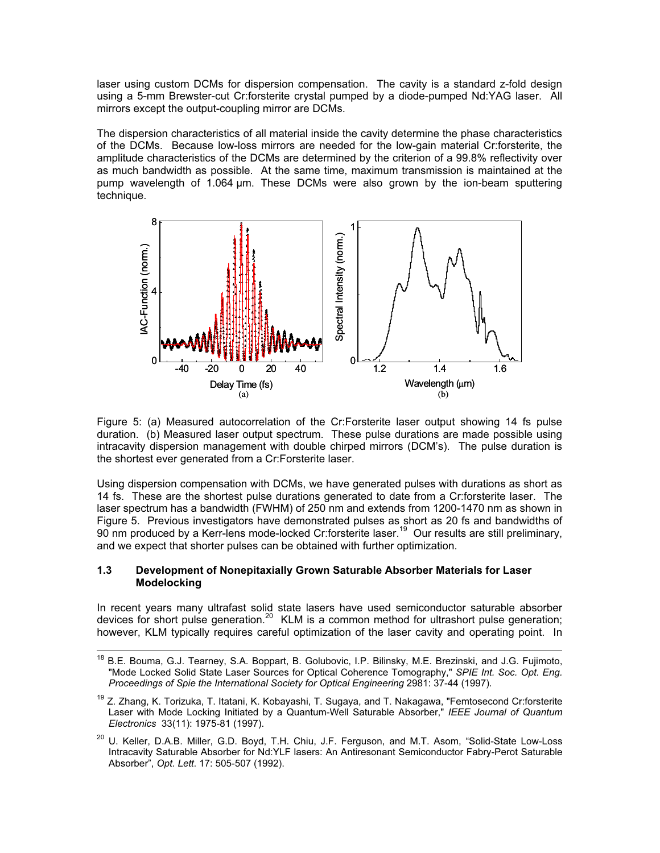laser using custom DCMs for dispersion compensation. The cavity is a standard z-fold design using a 5-mm Brewster-cut Cr:forsterite crystal pumped by a diode-pumped Nd:YAG laser. All mirrors except the output-coupling mirror are DCMs.

The dispersion characteristics of all material inside the cavity determine the phase characteristics of the DCMs. Because low-loss mirrors are needed for the low-gain material Cr:forsterite, the amplitude characteristics of the DCMs are determined by the criterion of a 99.8% reflectivity over as much bandwidth as possible. At the same time, maximum transmission is maintained at the pump wavelength of 1.064 µm. These DCMs were also grown by the ion-beam sputtering technique.



Figure 5: (a) Measured autocorrelation of the Cr:Forsterite laser output showing 14 fs pulse duration. (b) Measured laser output spectrum. These pulse durations are made possible using intracavity dispersion management with double chirped mirrors (DCM's). The pulse duration is the shortest ever generated from a Cr:Forsterite laser.

Using dispersion compensation with DCMs, we have generated pulses with durations as short as 14 fs. These are the shortest pulse durations generated to date from a Cr:forsterite laser. The laser spectrum has a bandwidth (FWHM) of 250 nm and extends from 1200-1470 nm as shown in Figure 5. Previous investigators have demonstrated pulses as short as 20 fs and bandwidths of  $90$  nm produced by a Kerr-lens mode-locked Cr:forsterite laser.<sup>19</sup> Our results are still preliminary, and we expect that shorter pulses can be obtained with further optimization.

### 1.3 Development of Nonepitaxially Grown Saturable Absorber Materials for Laser Modelocking

In recent years many ultrafast solid state lasers have used semiconductor saturable absorber devices for short pulse generation.<sup>20</sup> KLM is a common method for ultrashort pulse generation; however, KLM typically requires careful optimization of the laser cavity and operating point. In

<sup>&</sup>lt;sup>18</sup> B.E. Bouma, G.J. Tearney, S.A. Boppart, B. Golubovic, I.P. Bilinsky, M.E. Brezinski, and J.G. Fujimoto, "Mode Locked Solid State Laser Sources for Optical Coherence Tomography," SPIE Int. Soc. Opt. Eng. Proceedings of Spie the International Society for Optical Engineering 2981: 37-44 (1997).

<sup>&</sup>lt;sup>19</sup> Z. Zhang, K. Torizuka, T. Itatani, K. Kobayashi, T. Sugaya, and T. Nakagawa, "Femtosecond Cr:forsterite Laser with Mode Locking Initiated by a Quantum-Well Saturable Absorber," IEEE Journal of Quantum Electronics 33(11): 1975-81 (1997).

<sup>&</sup>lt;sup>20</sup> U. Keller, D.A.B. Miller, G.D. Boyd, T.H. Chiu, J.F. Ferguson, and M.T. Asom, "Solid-State Low-Loss Intracavity Saturable Absorber for Nd:YLF lasers: An Antiresonant Semiconductor Fabry-Perot Saturable Absorber", Opt. Lett. 17: 505-507 (1992).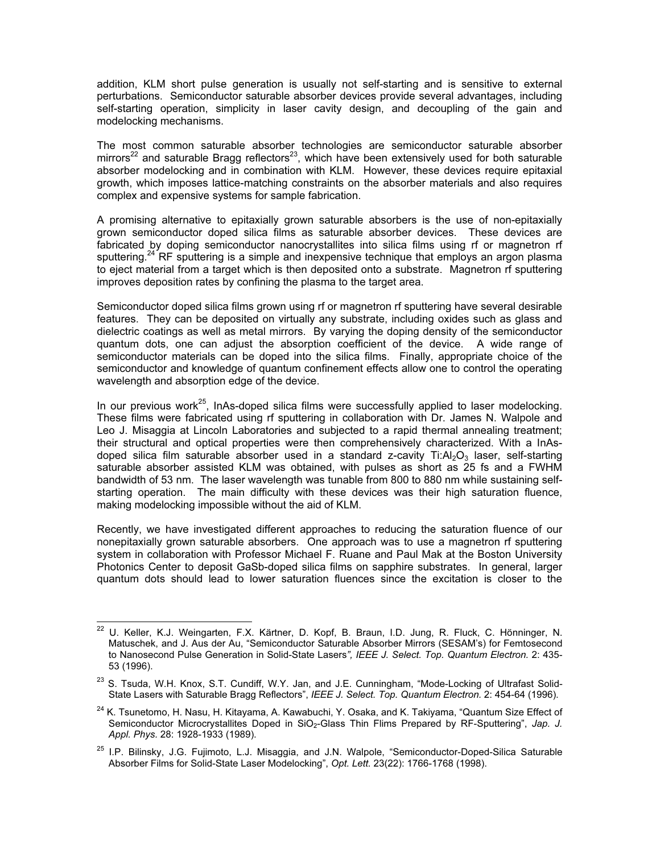addition, KLM short pulse generation is usually not self-starting and is sensitive to external perturbations. Semiconductor saturable absorber devices provide several advantages, including self-starting operation, simplicity in laser cavity design, and decoupling of the gain and modelocking mechanisms.

The most common saturable absorber technologies are semiconductor saturable absorber mirrors<sup>22</sup> and saturable Bragg reflectors<sup>23</sup>, which have been extensively used for both saturable absorber modelocking and in combination with KLM. However, these devices require epitaxial growth, which imposes lattice-matching constraints on the absorber materials and also requires complex and expensive systems for sample fabrication.

A promising alternative to epitaxially grown saturable absorbers is the use of non-epitaxially grown semiconductor doped silica films as saturable absorber devices. These devices are fabricated by doping semiconductor nanocrystallites into silica films using rf or magnetron rf sputtering.<sup>24</sup> RF sputtering is a simple and inexpensive technique that employs an argon plasma to eject material from a target which is then deposited onto a substrate. Magnetron rf sputtering improves deposition rates by confining the plasma to the target area.

Semiconductor doped silica films grown using rf or magnetron rf sputtering have several desirable features. They can be deposited on virtually any substrate, including oxides such as glass and dielectric coatings as well as metal mirrors. By varying the doping density of the semiconductor quantum dots, one can adjust the absorption coefficient of the device. A wide range of semiconductor materials can be doped into the silica films. Finally, appropriate choice of the semiconductor and knowledge of quantum confinement effects allow one to control the operating wavelength and absorption edge of the device.

In our previous work<sup>25</sup>, InAs-doped silica films were successfully applied to laser modelocking. These films were fabricated using rf sputtering in collaboration with Dr. James N. Walpole and Leo J. Misaggia at Lincoln Laboratories and subjected to a rapid thermal annealing treatment; their structural and optical properties were then comprehensively characterized. With a InAsdoped silica film saturable absorber used in a standard z-cavity Ti: $Al_2O_3$  laser, self-starting saturable absorber assisted KLM was obtained, with pulses as short as 25 fs and a FWHM bandwidth of 53 nm. The laser wavelength was tunable from 800 to 880 nm while sustaining selfstarting operation. The main difficulty with these devices was their high saturation fluence, making modelocking impossible without the aid of KLM.

Recently, we have investigated different approaches to reducing the saturation fluence of our nonepitaxially grown saturable absorbers. One approach was to use a magnetron rf sputtering system in collaboration with Professor Michael F. Ruane and Paul Mak at the Boston University Photonics Center to deposit GaSb-doped silica films on sapphire substrates. In general, larger quantum dots should lead to lower saturation fluences since the excitation is closer to the

<sup>22</sup> U. Keller, K.J. Weingarten, F.X. Kärtner, D. Kopf, B. Braun, I.D. Jung, R. Fluck, C. Hönninger, N. Matuschek, and J. Aus der Au, "Semiconductor Saturable Absorber Mirrors (SESAM's) for Femtosecond to Nanosecond Pulse Generation in Solid-State Lasers", IEEE J. Select. Top. Quantum Electron. 2: 435-53 (1996).

<sup>&</sup>lt;sup>23</sup> S. Tsuda. W.H. Knox, S.T. Cundiff, W.Y. Jan, and J.E. Cunningham, "Mode-Locking of Ultrafast Solid-State Lasers with Saturable Bragg Reflectors", IEEE J. Select. Top. Quantum Electron. 2: 454-64 (1996).

<sup>&</sup>lt;sup>24</sup> K. Tsunetomo, H. Nasu, H. Kitayama, A. Kawabuchi, Y. Osaka, and K. Takiyama, "Quantum Size Effect of Semiconductor Microcrystallites Doped in SiO<sub>2</sub>-Glass Thin Flims Prepared by RF-Sputtering", Jap. J. Appl. Phys. 28: 1928-1933 (1989).

<sup>&</sup>lt;sup>25</sup> I.P. Bilinsky, J.G. Fujimoto, L.J. Misaggia, and J.N. Walpole, "Semiconductor-Doped-Silica Saturable Absorber Films for Solid-State Laser Modelocking", Opt. Lett. 23(22): 1766-1768 (1998).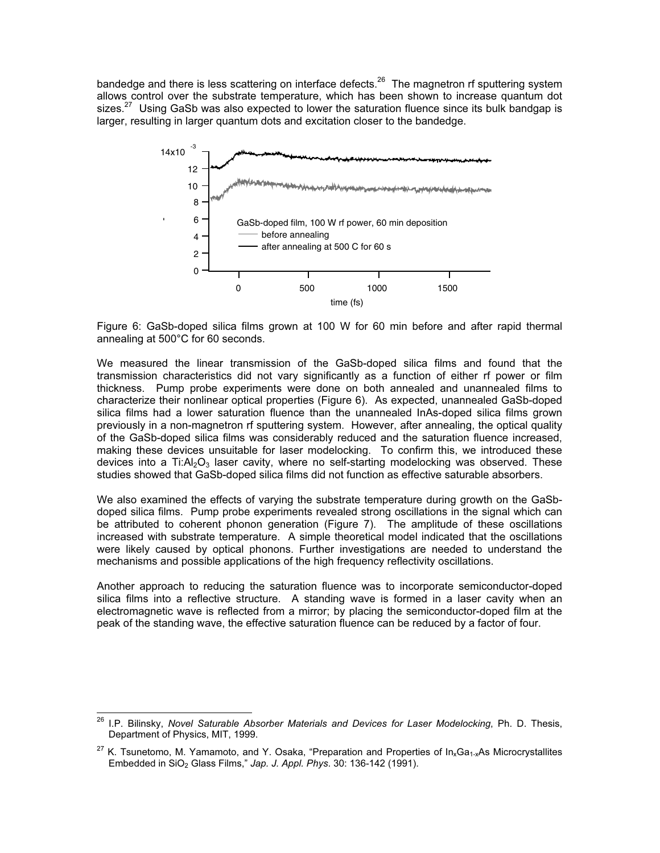bandedge and there is less scattering on interface defects.<sup>26</sup> The magnetron rf sputtering system allows control over the substrate temperature, which has been shown to increase quantum dot sizes.<sup>27</sup> Using GaSb was also expected to lower the saturation fluence since its bulk bandgap is larger, resulting in larger quantum dots and excitation closer to the bandedge.



Figure 6: GaSb-doped silica films grown at 100 W for 60 min before and after rapid thermal annealing at 500°C for 60 seconds.

We measured the linear transmission of the GaSb-doped silica films and found that the transmission characteristics did not vary significantly as a function of either rf power or film thickness. Pump probe experiments were done on both annealed and unannealed films to characterize their nonlinear optical properties (Figure 6). As expected, unannealed GaSb-doped silica films had a lower saturation fluence than the unannealed InAs-doped silica films grown previously in a non-magnetron rf sputtering system. However, after annealing, the optical quality of the GaSb-doped silica films was considerably reduced and the saturation fluence increased, making these devices unsuitable for laser modelocking. To confirm this, we introduced these devices into a Ti: $Al_2O_3$  laser cavity, where no self-starting modelocking was observed. These studies showed that GaSb-doped silica films did not function as effective saturable absorbers.

We also examined the effects of varying the substrate temperature during growth on the GaSbdoped silica films. Pump probe experiments revealed strong oscillations in the signal which can be attributed to coherent phonon generation (Figure 7). The amplitude of these oscillations increased with substrate temperature. A simple theoretical model indicated that the oscillations were likely caused by optical phonons. Further investigations are needed to understand the mechanisms and possible applications of the high frequency reflectivity oscillations.

Another approach to reducing the saturation fluence was to incorporate semiconductor-doped silica films into a reflective structure. A standing wave is formed in a laser cavity when an electromagnetic wave is reflected from a mirror; by placing the semiconductor-doped film at the peak of the standing wave, the effective saturation fluence can be reduced by a factor of four.

<sup>&</sup>lt;sup>26</sup> I.P. Bilinsky, Novel Saturable Absorber Materials and Devices for Laser Modelocking, Ph. D. Thesis, Department of Physics, MIT, 1999.

 $27$  K. Tsunetomo, M. Yamamoto, and Y. Osaka, "Preparation and Properties of In<sub>x</sub>Ga<sub>1-x</sub>As Microcrystallites Embedded in SiO<sub>2</sub> Glass Films," Jap. J. Appl. Phys. 30: 136-142 (1991).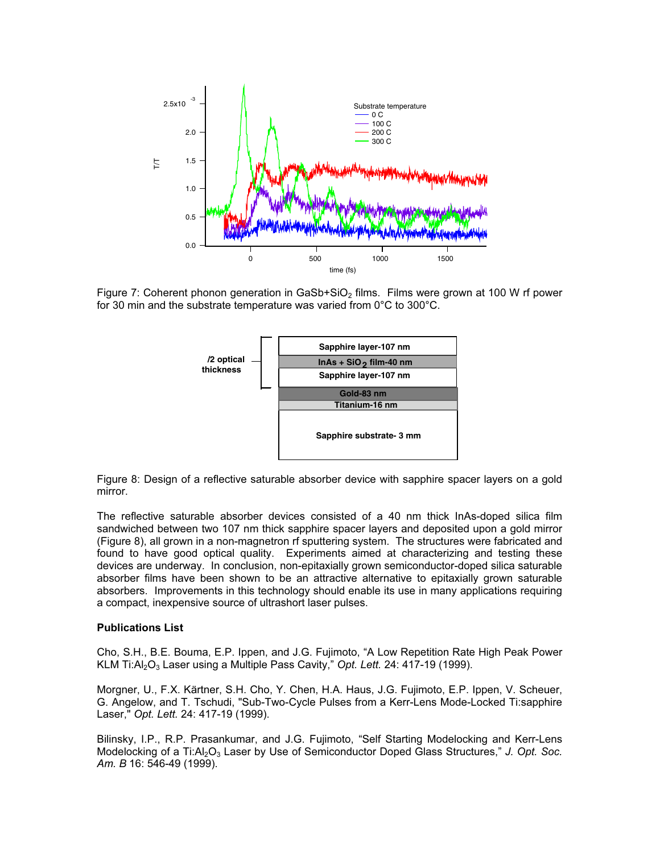

Figure 7: Coherent phonon generation in GaSb+SiO<sub>2</sub> films. Films were grown at 100 W rf power for 30 min and the substrate temperature was varied from 0°C to 300°C.



Figure 8: Design of a reflective saturable absorber device with sapphire spacer layers on a gold mirror.

The reflective saturable absorber devices consisted of a 40 nm thick InAs-doped silica film sandwiched between two 107 nm thick sapphire spacer layers and deposited upon a gold mirror (Figure 8), all grown in a non-magnetron rf sputtering system. The structures were fabricated and found to have good optical quality. Experiments aimed at characterizing and testing these devices are underway. In conclusion, non-epitaxially grown semiconductor-doped silica saturable absorber films have been shown to be an attractive alternative to epitaxially grown saturable absorbers. Improvements in this technology should enable its use in many applications requiring a compact, inexpensive source of ultrashort laser pulses.

#### Publications List

Cho, S.H., B.E. Bouma, E.P. Ippen, and J.G. Fujimoto, "A Low Repetition Rate High Peak Power KLM Ti: $Al_2O_3$  Laser using a Multiple Pass Cavity," Opt. Lett. 24: 417-19 (1999).

Morgner, U., F.X. Kärtner, S.H. Cho, Y. Chen, H.A. Haus, J.G. Fujimoto, E.P. Ippen, V. Scheuer, G. Angelow, and T. Tschudi, "Sub-Two-Cycle Pulses from a Kerr-Lens Mode-Locked Ti:sapphire Laser," Opt. Lett. 24: 417-19 (1999).

Bilinsky, I.P., R.P. Prasankumar, and J.G. Fujimoto, "Self Starting Modelocking and Kerr-Lens Modelocking of a Ti:Al<sub>2</sub>O<sub>3</sub> Laser by Use of Semiconductor Doped Glass Structures," J. Opt. Soc. Am. B 16: 546-49 (1999).